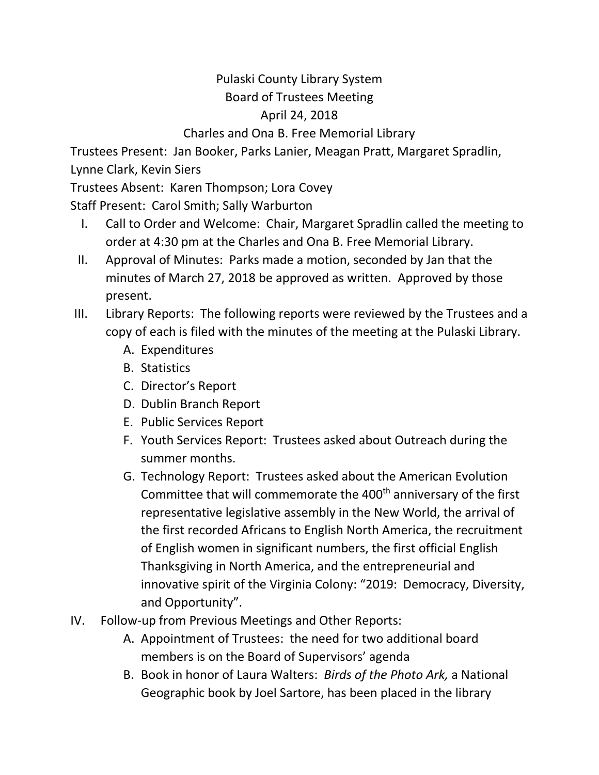## Pulaski County Library System Board of Trustees Meeting April 24, 2018 Charles and Ona B. Free Memorial Library

Trustees Present: Jan Booker, Parks Lanier, Meagan Pratt, Margaret Spradlin, Lynne Clark, Kevin Siers

Trustees Absent: Karen Thompson; Lora Covey

Staff Present: Carol Smith; Sally Warburton

- I. Call to Order and Welcome: Chair, Margaret Spradlin called the meeting to order at 4:30 pm at the Charles and Ona B. Free Memorial Library.
- II. Approval of Minutes: Parks made a motion, seconded by Jan that the minutes of March 27, 2018 be approved as written. Approved by those present.
- III. Library Reports: The following reports were reviewed by the Trustees and a copy of each is filed with the minutes of the meeting at the Pulaski Library.
	- A. Expenditures
	- B. Statistics
	- C. Director's Report
	- D. Dublin Branch Report
	- E. Public Services Report
	- F. Youth Services Report: Trustees asked about Outreach during the summer months.
	- G. Technology Report: Trustees asked about the American Evolution Committee that will commemorate the  $400<sup>th</sup>$  anniversary of the first representative legislative assembly in the New World, the arrival of the first recorded Africans to English North America, the recruitment of English women in significant numbers, the first official English Thanksgiving in North America, and the entrepreneurial and innovative spirit of the Virginia Colony: "2019: Democracy, Diversity, and Opportunity".
- IV. Follow-up from Previous Meetings and Other Reports:
	- A. Appointment of Trustees: the need for two additional board members is on the Board of Supervisors' agenda
	- B. Book in honor of Laura Walters: *Birds of the Photo Ark,* a National Geographic book by Joel Sartore, has been placed in the library